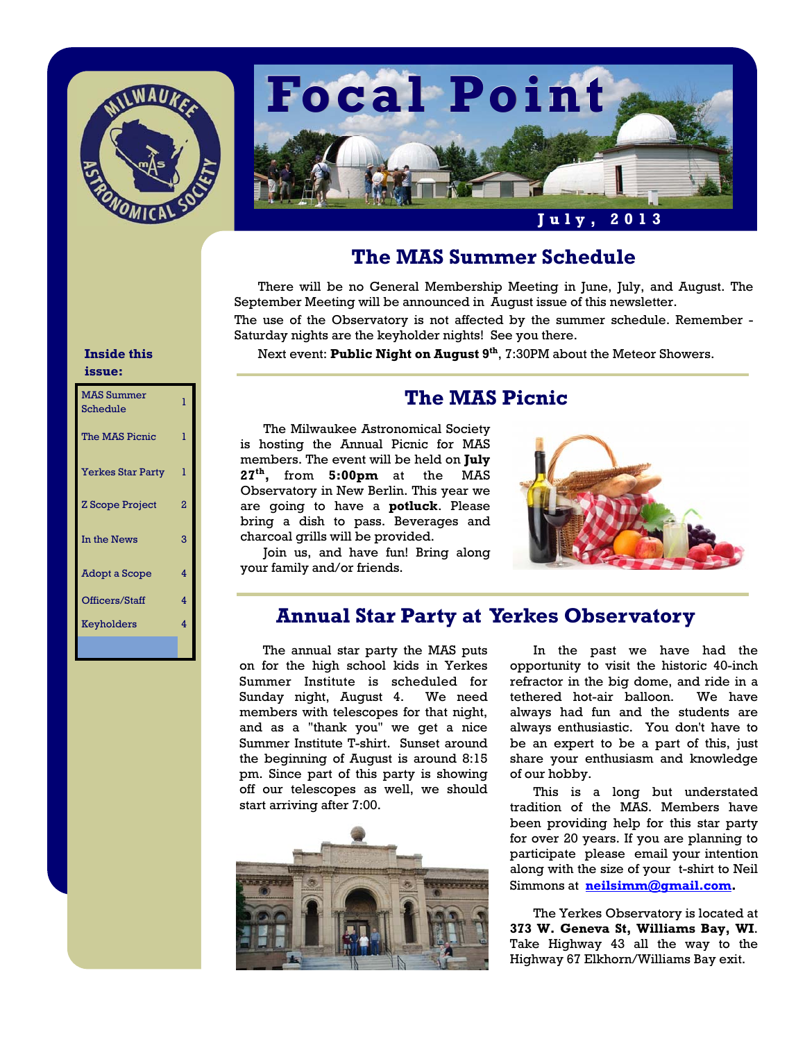



# **The MAS Summer Schedule**

 There will be no General Membership Meeting in June, July, and August. The September Meeting will be announced in August issue of this newsletter.

The use of the Observatory is not affected by the summer schedule. Remember - Saturday nights are the keyholder nights! See you there.

Next event: **Public Night on August 9<sup>th</sup>**, 7:30PM about the Meteor Showers.

#### **Inside this issue:**

| <b>MAS Summer</b><br>Schedule | ı |
|-------------------------------|---|
| The MAS Picnic                | ı |
| <b>Yerkes Star Party</b>      | 1 |
| <b>Z</b> Scope Project        | 2 |
| In the News                   | 3 |
| Adopt a Scope                 | 4 |
| Officers/Staff                | 4 |
| Keyholders                    | 4 |
|                               |   |

# **The MAS Picnic**

 The Milwaukee Astronomical Society is hosting the Annual Picnic for MAS members. The event will be held on **July 27th,** from **5:00pm** at the MAS Observatory in New Berlin. This year we are going to have a **potluck**. Please bring a dish to pass. Beverages and charcoal grills will be provided.

 Join us, and have fun! Bring along your family and/or friends.



## **Annual Star Party at Yerkes Observatory**

 The annual star party the MAS puts on for the high school kids in Yerkes Summer Institute is scheduled for Sunday night, August 4. We need members with telescopes for that night, and as a "thank you" we get a nice Summer Institute T-shirt. Sunset around the beginning of August is around 8:15 pm. Since part of this party is showing off our telescopes as well, we should start arriving after 7:00.



 In the past we have had the opportunity to visit the historic 40-inch refractor in the big dome, and ride in a tethered hot-air balloon. We have always had fun and the students are always enthusiastic. You don't have to be an expert to be a part of this, just share your enthusiasm and knowledge of our hobby.

 This is a long but understated tradition of the MAS. Members have been providing help for this star party for over 20 years. If you are planning to participate please email your intention along with the size of your t-shirt to Neil Simmons at **neilsimm@gmail.com.** 

The Yerkes Observatory is located at **373 W. Geneva St, Williams Bay, WI**. Take Highway 43 all the way to the Highway 67 Elkhorn/Williams Bay exit.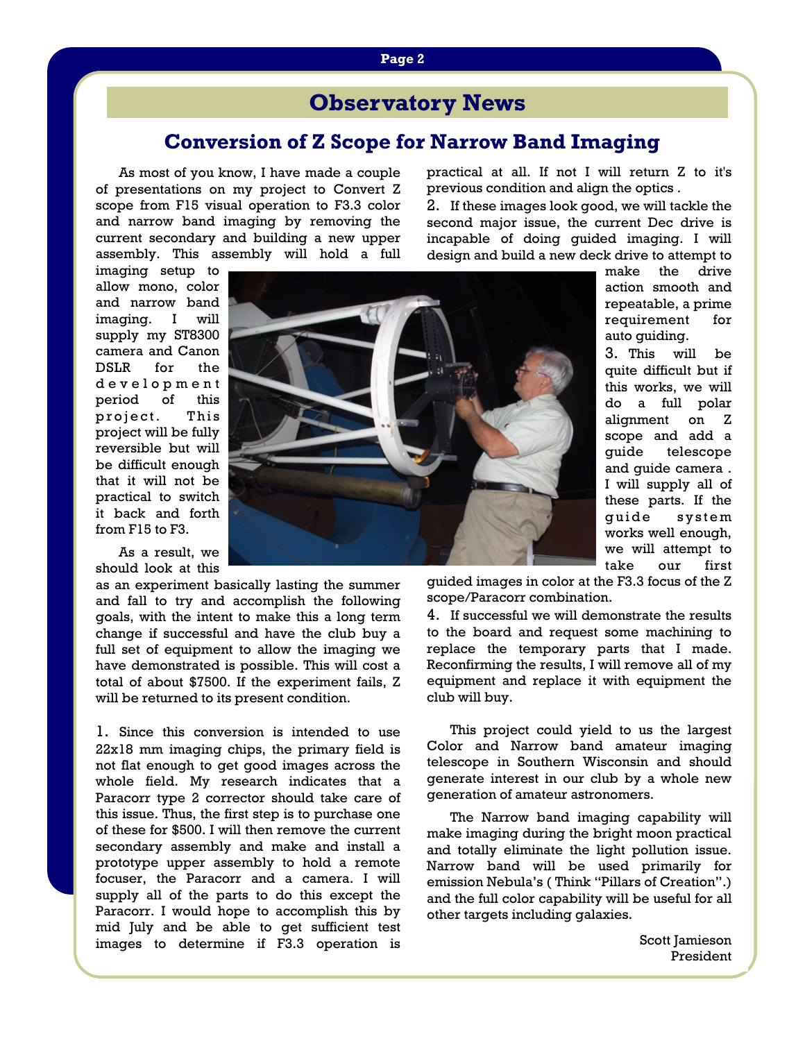# **Observatory News**

## **Conversion of Z Scope for Narrow Band Imaging**

As most of you know, I have made a couple of presentations on my project to Convert Z scope from F15 visual operation to F3.3 color and narrow band imaging by removing the current secondary and building a new upper assembly. This assembly will hold a full practical at all. If not I will return Z to it's previous condition and align the optics .

2. If these images look good, we will tackle the second major issue, the current Dec drive is incapable of doing guided imaging. I will design and build a new deck drive to attempt to

imaging setup to allow mono, color and narrow band imaging. I will supply my ST8300 camera and Canon DSLR for the d e v e l o p m e n t period of this project. This project will be fully reversible but will be difficult enough that it will not be practical to switch it back and forth from F15 to F3.

 As a result, we should look at this

as an experiment basically lasting the summer and fall to try and accomplish the following goals, with the intent to make this a long term change if successful and have the club buy a full set of equipment to allow the imaging we have demonstrated is possible. This will cost a total of about \$7500. If the experiment fails, Z will be returned to its present condition.

1. Since this conversion is intended to use 22x18 mm imaging chips, the primary field is not flat enough to get good images across the whole field. My research indicates that a Paracorr type 2 corrector should take care of this issue. Thus, the first step is to purchase one of these for \$500. I will then remove the current secondary assembly and make and install a prototype upper assembly to hold a remote focuser, the Paracorr and a camera. I will supply all of the parts to do this except the Paracorr. I would hope to accomplish this by mid July and be able to get sufficient test images to determine if F3.3 operation is



make the drive action smooth and repeatable, a prime requirement for auto guiding.

3. This will be quite difficult but if this works, we will do a full polar alignment on Z scope and add a guide telescope and guide camera . I will supply all of these parts. If the quide system works well enough, we will attempt to take our first

guided images in color at the F3.3 focus of the Z scope/Paracorr combination.

4. If successful we will demonstrate the results to the board and request some machining to replace the temporary parts that I made. Reconfirming the results, I will remove all of my equipment and replace it with equipment the club will buy.

 This project could yield to us the largest Color and Narrow band amateur imaging telescope in Southern Wisconsin and should generate interest in our club by a whole new generation of amateur astronomers.

 The Narrow band imaging capability will make imaging during the bright moon practical and totally eliminate the light pollution issue. Narrow band will be used primarily for emission Nebula's ( Think "Pillars of Creation".) and the full color capability will be useful for all other targets including galaxies.

> Scott Jamieson President

#### **Page 2**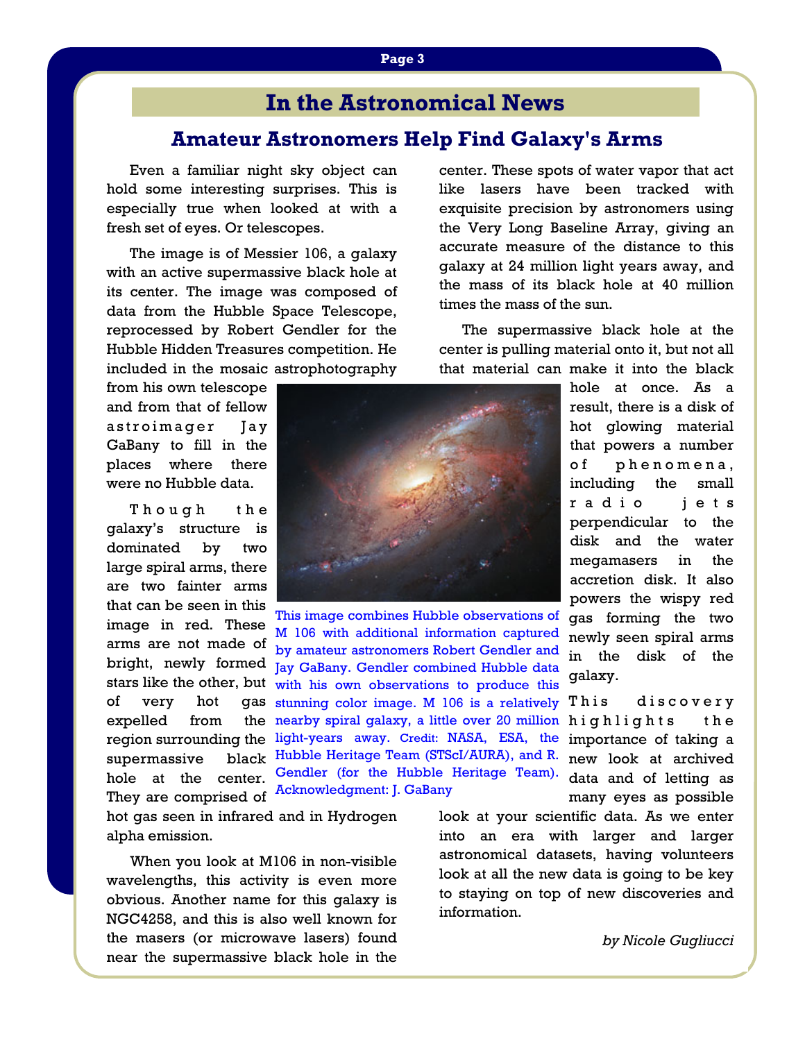# **In the Astronomical News**

# **Amateur Astronomers Help Find Galaxy's Arms**

Even a familiar night sky object can hold some interesting surprises. This is especially true when looked at with a fresh set of eyes. Or telescopes.

 The image is of Messier 106, a galaxy with an active supermassive black hole at its center. The image was composed of data from the Hubble Space Telescope, reprocessed by Robert Gendler for the Hubble Hidden Treasures competition. He included in the mosaic astrophotography

from his own telescope and from that of fellow astroimager Jay GaBany to fill in the places where there were no Hubble data.

Though the galaxy's structure is dominated by two large spiral arms, there are two fainter arms that can be seen in this image in red. These arms are not made of bright, newly formed of very hot expelled from supermassive hole at the center. They are comprised of

hot gas seen in infrared and in Hydrogen alpha emission.

 When you look at M106 in non-visible wavelengths, this activity is even more obvious. Another name for this galaxy is NGC4258, and this is also well known for the masers (or microwave lasers) found near the supermassive black hole in the center. These spots of water vapor that act like lasers have been tracked with exquisite precision by astronomers using the Very Long Baseline Array, giving an accurate measure of the distance to this galaxy at 24 million light years away, and the mass of its black hole at 40 million times the mass of the sun.

 The supermassive black hole at the center is pulling material onto it, but not all that material can make it into the black

> hole at once. As a result, there is a disk of hot glowing material that powers a number of phenomena, including the small radio jets perpendicular to the disk and the water megamasers in the accretion disk. It also powers the wispy red gas forming the two newly seen spiral arms in the disk of the galaxy.

This discovery highlights the importance of taking a new look at archived many eyes as possible

look at your scientific data. As we enter into an era with larger and larger astronomical datasets, having volunteers look at all the new data is going to be key to staying on top of new discoveries and information.





stars like the other, but with his own observations to produce this region surrounding the light-years away. Credit: NASA, ESA, the Gendler (for the Hubble Heritage Team). data and of letting as This image combines Hubble observations of M 106 with additional information captured by amateur astronomers Robert Gendler and Jay GaBany. Gendler combined Hubble data gas stunning color image. M 106 is a relatively the nearby spiral galaxy, a little over 20 million black Hubble Heritage Team (STScI/AURA), and R. Acknowledgment: J. GaBany